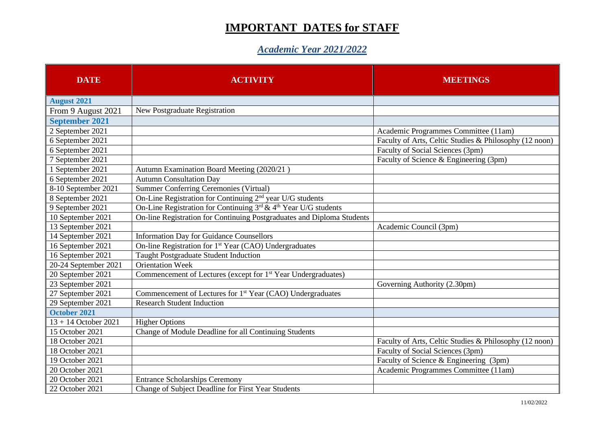## **IMPORTANT DATES for STAFF**

## *Academic Year 2021/2022*

| <b>DATE</b>            | <b>ACTIVITY</b>                                                                  | <b>MEETINGS</b>                                        |
|------------------------|----------------------------------------------------------------------------------|--------------------------------------------------------|
| <b>August 2021</b>     |                                                                                  |                                                        |
| From 9 August 2021     | New Postgraduate Registration                                                    |                                                        |
| <b>September 2021</b>  |                                                                                  |                                                        |
| 2 September 2021       |                                                                                  | Academic Programmes Committee (11am)                   |
| 6 September 2021       |                                                                                  | Faculty of Arts, Celtic Studies & Philosophy (12 noon) |
| 6 September 2021       |                                                                                  | Faculty of Social Sciences (3pm)                       |
| 7 September 2021       |                                                                                  | Faculty of Science & Engineering (3pm)                 |
| 1 September 2021       | Autumn Examination Board Meeting (2020/21)                                       |                                                        |
| 6 September 2021       | <b>Autumn Consultation Day</b>                                                   |                                                        |
| 8-10 September 2021    | <b>Summer Conferring Ceremonies (Virtual)</b>                                    |                                                        |
| 8 September 2021       | On-Line Registration for Continuing 2 <sup>nd</sup> year U/G students            |                                                        |
| 9 September 2021       | On-Line Registration for Continuing $3^{rd}$ & 4 <sup>th</sup> Year U/G students |                                                        |
| 10 September 2021      | On-line Registration for Continuing Postgraduates and Diploma Students           |                                                        |
| 13 September 2021      |                                                                                  | Academic Council (3pm)                                 |
| 14 September 2021      | <b>Information Day for Guidance Counsellors</b>                                  |                                                        |
| 16 September 2021      | On-line Registration for 1 <sup>st</sup> Year (CAO) Undergraduates               |                                                        |
| 16 September 2021      | Taught Postgraduate Student Induction                                            |                                                        |
| 20-24 September 2021   | <b>Orientation Week</b>                                                          |                                                        |
| 20 September 2021      | Commencement of Lectures (except for 1 <sup>st</sup> Year Undergraduates)        |                                                        |
| 23 September 2021      |                                                                                  | Governing Authority (2.30pm)                           |
| 27 September 2021      | Commencement of Lectures for 1 <sup>st</sup> Year (CAO) Undergraduates           |                                                        |
| 29 September 2021      | <b>Research Student Induction</b>                                                |                                                        |
| October 2021           |                                                                                  |                                                        |
| $13 + 14$ October 2021 | <b>Higher Options</b>                                                            |                                                        |
| 15 October 2021        | Change of Module Deadline for all Continuing Students                            |                                                        |
| 18 October 2021        |                                                                                  | Faculty of Arts, Celtic Studies & Philosophy (12 noon) |
| 18 October 2021        |                                                                                  | Faculty of Social Sciences (3pm)                       |
| 19 October 2021        |                                                                                  | Faculty of Science & Engineering (3pm)                 |
| 20 October 2021        |                                                                                  | Academic Programmes Committee (11am)                   |
| 20 October 2021        | <b>Entrance Scholarships Ceremony</b>                                            |                                                        |
| 22 October 2021        | Change of Subject Deadline for First Year Students                               |                                                        |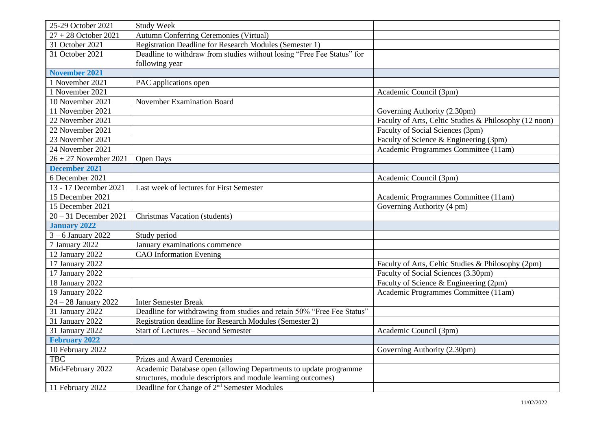| 25-29 October 2021      | <b>Study Week</b>                                                      |                                                        |
|-------------------------|------------------------------------------------------------------------|--------------------------------------------------------|
| $27 + 28$ October 2021  | Autumn Conferring Ceremonies (Virtual)                                 |                                                        |
| 31 October 2021         | Registration Deadline for Research Modules (Semester 1)                |                                                        |
| 31 October 2021         | Deadline to withdraw from studies without losing "Free Fee Status" for |                                                        |
|                         | following year                                                         |                                                        |
| <b>November 2021</b>    |                                                                        |                                                        |
| 1 November 2021         | PAC applications open                                                  |                                                        |
| 1 November 2021         |                                                                        | Academic Council (3pm)                                 |
| 10 November 2021        | November Examination Board                                             |                                                        |
| 11 November 2021        |                                                                        | Governing Authority (2.30pm)                           |
| 22 November 2021        |                                                                        | Faculty of Arts, Celtic Studies & Philosophy (12 noon) |
| 22 November 2021        |                                                                        | Faculty of Social Sciences (3pm)                       |
| 23 November 2021        |                                                                        | Faculty of Science & Engineering (3pm)                 |
| 24 November 2021        |                                                                        | Academic Programmes Committee (11am)                   |
| $26 + 27$ November 2021 | Open Days                                                              |                                                        |
| <b>December 2021</b>    |                                                                        |                                                        |
| 6 December 2021         |                                                                        | Academic Council (3pm)                                 |
| 13 - 17 December 2021   | Last week of lectures for First Semester                               |                                                        |
| 15 December 2021        |                                                                        | Academic Programmes Committee (11am)                   |
| 15 December 2021        |                                                                        | Governing Authority (4 pm)                             |
| $20 - 31$ December 2021 | Christmas Vacation (students)                                          |                                                        |
| <b>January 2022</b>     |                                                                        |                                                        |
| $3 - 6$ January 2022    | Study period                                                           |                                                        |
| 7 January 2022          | January examinations commence                                          |                                                        |
| 12 January 2022         | <b>CAO</b> Information Evening                                         |                                                        |
| 17 January 2022         |                                                                        | Faculty of Arts, Celtic Studies & Philosophy (2pm)     |
| 17 January 2022         |                                                                        | Faculty of Social Sciences (3.30pm)                    |
| 18 January 2022         |                                                                        | Faculty of Science & Engineering (2pm)                 |
| 19 January 2022         |                                                                        | Academic Programmes Committee (11am)                   |
| $24 - 28$ January 2022  | <b>Inter Semester Break</b>                                            |                                                        |
| 31 January 2022         | Deadline for withdrawing from studies and retain 50% "Free Fee Status" |                                                        |
| 31 January 2022         | Registration deadline for Research Modules (Semester 2)                |                                                        |
| 31 January 2022         | Start of Lectures - Second Semester                                    | Academic Council (3pm)                                 |
| <b>February 2022</b>    |                                                                        |                                                        |
| 10 February 2022        |                                                                        | Governing Authority (2.30pm)                           |
| <b>TBC</b>              | Prizes and Award Ceremonies                                            |                                                        |
| Mid-February 2022       | Academic Database open (allowing Departments to update programme       |                                                        |
|                         | structures, module descriptors and module learning outcomes)           |                                                        |
| 11 February 2022        | Deadline for Change of 2 <sup>nd</sup> Semester Modules                |                                                        |